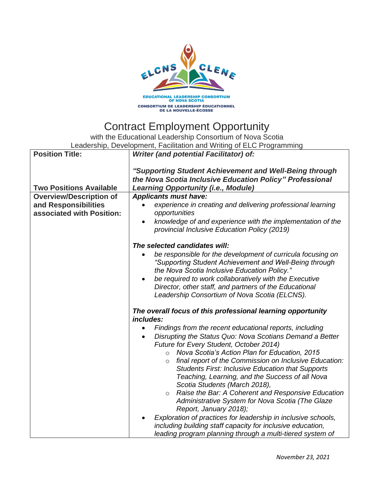

## Contract Employment Opportunity

with the Educational Leadership Consortium of Nova Scotia Leadership, Development, Facilitation and Writing of ELC Programming

| <b>Position Title:</b>         | Writer (and potential Facilitator) of:                                                                                                                                |
|--------------------------------|-----------------------------------------------------------------------------------------------------------------------------------------------------------------------|
| <b>Two Positions Available</b> | "Supporting Student Achievement and Well-Being through<br>the Nova Scotia Inclusive Education Policy" Professional<br><b>Learning Opportunity (i.e., Module)</b>      |
| <b>Overview/Description of</b> | <b>Applicants must have:</b>                                                                                                                                          |
| and Responsibilities           | experience in creating and delivering professional learning                                                                                                           |
| associated with Position:      | opportunities                                                                                                                                                         |
|                                | knowledge of and experience with the implementation of the<br>provincial Inclusive Education Policy (2019)                                                            |
|                                | The selected candidates will:                                                                                                                                         |
|                                | be responsible for the development of curricula focusing on<br>"Supporting Student Achievement and Well-Being through<br>the Nova Scotia Inclusive Education Policy." |
|                                | be required to work collaboratively with the Executive<br>$\bullet$                                                                                                   |
|                                | Director, other staff, and partners of the Educational                                                                                                                |
|                                | Leadership Consortium of Nova Scotia (ELCNS).                                                                                                                         |
|                                | The overall focus of this professional learning opportunity<br>includes:                                                                                              |
|                                | Findings from the recent educational reports, including                                                                                                               |
|                                | Disrupting the Status Quo: Nova Scotians Demand a Better<br>Future for Every Student, October 2014)                                                                   |
|                                | Nova Scotia's Action Plan for Education, 2015<br>$\circ$                                                                                                              |
|                                | final report of the Commission on Inclusive Education:<br>$\circ$                                                                                                     |
|                                | <b>Students First: Inclusive Education that Supports</b>                                                                                                              |
|                                | Teaching, Learning, and the Success of all Nova<br>Scotia Students (March 2018),                                                                                      |
|                                | Raise the Bar: A Coherent and Responsive Education<br>$\circ$                                                                                                         |
|                                | Administrative System for Nova Scotia (The Glaze                                                                                                                      |
|                                | Report, January 2018);                                                                                                                                                |
|                                | Exploration of practices for leadership in inclusive schools,<br>including building staff capacity for inclusive education,                                           |
|                                | leading program planning through a multi-tiered system of                                                                                                             |